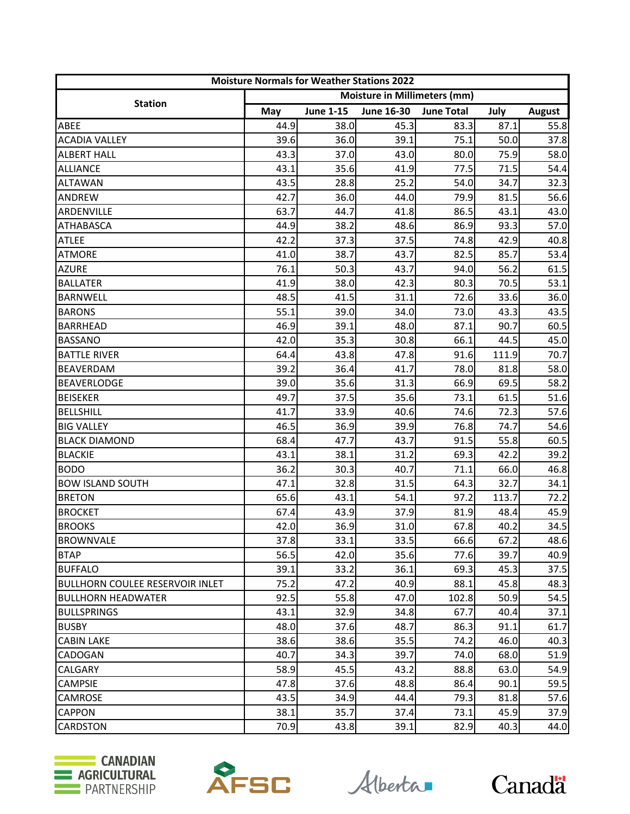| <b>Moisture Normals for Weather Stations 2022</b> |                                     |                  |            |                   |       |               |
|---------------------------------------------------|-------------------------------------|------------------|------------|-------------------|-------|---------------|
|                                                   | <b>Moisture in Millimeters (mm)</b> |                  |            |                   |       |               |
| <b>Station</b>                                    | May                                 | <b>June 1-15</b> | June 16-30 | <b>June Total</b> | July  | <b>August</b> |
| ABEE                                              | 44.9                                | 38.0             | 45.3       | 83.3              | 87.1  | 55.8          |
| <b>ACADIA VALLEY</b>                              | 39.6                                | 36.0             | 39.1       | 75.1              | 50.0  | 37.8          |
| <b>ALBERT HALL</b>                                | 43.3                                | 37.0             | 43.0       | 80.0              | 75.9  | 58.0          |
| <b>ALLIANCE</b>                                   | 43.1                                | 35.6             | 41.9       | 77.5              | 71.5  | 54.4          |
| <b>ALTAWAN</b>                                    | 43.5                                | 28.8             | 25.2       | 54.0              | 34.7  | 32.3          |
| <b>ANDREW</b>                                     | 42.7                                | 36.0             | 44.0       | 79.9              | 81.5  | 56.6          |
| ARDENVILLE                                        | 63.7                                | 44.7             | 41.8       | 86.5              | 43.1  | 43.0          |
| <b>ATHABASCA</b>                                  | 44.9                                | 38.2             | 48.6       | 86.9              | 93.3  | 57.0          |
| <b>ATLEE</b>                                      | 42.2                                | 37.3             | 37.5       | 74.8              | 42.9  | 40.8          |
| <b>ATMORE</b>                                     | 41.0                                | 38.7             | 43.7       | 82.5              | 85.7  | 53.4          |
| <b>AZURE</b>                                      | 76.1                                | 50.3             | 43.7       | 94.0              | 56.2  | 61.5          |
| <b>BALLATER</b>                                   | 41.9                                | 38.0             | 42.3       | 80.3              | 70.5  | 53.1          |
| <b>BARNWELL</b>                                   | 48.5                                | 41.5             | 31.1       | 72.6              | 33.6  | 36.0          |
| <b>BARONS</b>                                     | 55.1                                | 39.0             | 34.0       | 73.0              | 43.3  | 43.5          |
| <b>BARRHEAD</b>                                   | 46.9                                | 39.1             | 48.0       | 87.1              | 90.7  | 60.5          |
| <b>BASSANO</b>                                    | 42.0                                | 35.3             | 30.8       | 66.1              | 44.5  | 45.0          |
| <b>BATTLE RIVER</b>                               | 64.4                                | 43.8             | 47.8       | 91.6              | 111.9 | 70.7          |
| <b>BEAVERDAM</b>                                  | 39.2                                | 36.4             | 41.7       | 78.0              | 81.8  | 58.0          |
| <b>BEAVERLODGE</b>                                | 39.0                                | 35.6             | 31.3       | 66.9              | 69.5  | 58.2          |
| <b>BEISEKER</b>                                   | 49.7                                | 37.5             | 35.6       | 73.1              | 61.5  | 51.6          |
| <b>BELLSHILL</b>                                  | 41.7                                | 33.9             | 40.6       | 74.6              | 72.3  | 57.6          |
| <b>BIG VALLEY</b>                                 | 46.5                                | 36.9             | 39.9       | 76.8              | 74.7  | 54.6          |
| <b>BLACK DIAMOND</b>                              | 68.4                                | 47.7             | 43.7       | 91.5              | 55.8  | 60.5          |
| <b>BLACKIE</b>                                    | 43.1                                | 38.1             | 31.2       | 69.3              | 42.2  | 39.2          |
| <b>BODO</b>                                       | 36.2                                | 30.3             | 40.7       | 71.1              | 66.0  | 46.8          |
| <b>BOW ISLAND SOUTH</b>                           | 47.1                                | 32.8             | 31.5       | 64.3              | 32.7  | 34.1          |
| <b>BRETON</b>                                     | 65.6                                | 43.1             | 54.1       | 97.2              | 113.7 | 72.2          |
| <b>BROCKET</b>                                    | 67.4                                | 43.9             | 37.9       | 81.9              | 48.4  | 45.9          |
| <b>BROOKS</b>                                     | 42.0                                | 36.9             | 31.0       | 67.8              | 40.2  | 34.5          |
| <b>BROWNVALE</b>                                  | 37.8                                | 33.1             | 33.5       | 66.6              | 67.2  | 48.6          |
| <b>BTAP</b>                                       | 56.5                                | 42.0             | 35.6       | 77.6              | 39.7  | 40.9          |
| <b>BUFFALO</b>                                    | 39.1                                | 33.2             | 36.1       | 69.3              | 45.3  | 37.5          |
| <b>BULLHORN COULEE RESERVOIR INLET</b>            | 75.2                                | 47.2             | 40.9       | 88.1              | 45.8  | 48.3          |
| <b>BULLHORN HEADWATER</b>                         | 92.5                                | 55.8             | 47.0       | 102.8             | 50.9  | 54.5          |
| <b>BULLSPRINGS</b>                                | 43.1                                | 32.9             | 34.8       | 67.7              | 40.4  | 37.1          |
| <b>BUSBY</b>                                      | 48.0                                | 37.6             | 48.7       | 86.3              | 91.1  | 61.7          |
| <b>CABIN LAKE</b>                                 | 38.6                                | 38.6             | 35.5       | 74.2              | 46.0  | 40.3          |
| <b>CADOGAN</b>                                    | 40.7                                | 34.3             | 39.7       | 74.0              | 68.0  | 51.9          |
| <b>CALGARY</b>                                    | 58.9                                | 45.5             | 43.2       | 88.8              | 63.0  | 54.9          |
| <b>CAMPSIE</b>                                    | 47.8                                | 37.6             | 48.8       | 86.4              | 90.1  | 59.5          |
| CAMROSE                                           | 43.5                                | 34.9             | 44.4       | 79.3              | 81.8  | 57.6          |
| <b>CAPPON</b>                                     | 38.1                                | 35.7             | 37.4       | 73.1              | 45.9  | 37.9          |
| <b>CARDSTON</b>                                   | 70.9                                | 43.8             | 39.1       | 82.9              | 40.3  | 44.0          |





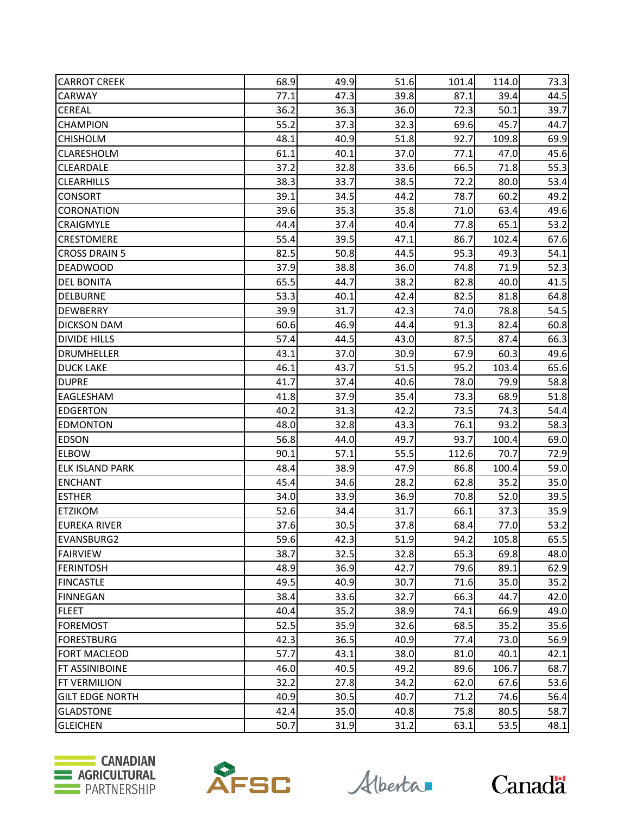| <b>CARROT CREEK</b>    | 68.9 | 49.9 | 51.6 | 101.4 | 114.0 | 73.3 |
|------------------------|------|------|------|-------|-------|------|
| CARWAY                 | 77.1 | 47.3 | 39.8 | 87.1  | 39.4  | 44.5 |
| <b>CEREAL</b>          | 36.2 | 36.3 | 36.0 | 72.3  | 50.1  | 39.7 |
| <b>CHAMPION</b>        | 55.2 | 37.3 | 32.3 | 69.6  | 45.7  | 44.7 |
| <b>CHISHOLM</b>        | 48.1 | 40.9 | 51.8 | 92.7  | 109.8 | 69.9 |
| <b>CLARESHOLM</b>      | 61.1 | 40.1 | 37.0 | 77.1  | 47.0  | 45.6 |
| <b>CLEARDALE</b>       | 37.2 | 32.8 | 33.6 | 66.5  | 71.8  | 55.3 |
| <b>CLEARHILLS</b>      | 38.3 | 33.7 | 38.5 | 72.2  | 80.0  | 53.4 |
| <b>CONSORT</b>         | 39.1 | 34.5 | 44.2 | 78.7  | 60.2  | 49.2 |
| CORONATION             | 39.6 | 35.3 | 35.8 | 71.0  | 63.4  | 49.6 |
| <b>CRAIGMYLE</b>       | 44.4 | 37.4 | 40.4 | 77.8  | 65.1  | 53.2 |
| <b>CRESTOMERE</b>      | 55.4 | 39.5 | 47.1 | 86.7  | 102.4 | 67.6 |
| <b>CROSS DRAIN 5</b>   | 82.5 | 50.8 | 44.5 | 95.3  | 49.3  | 54.1 |
| <b>DEADWOOD</b>        | 37.9 | 38.8 | 36.0 | 74.8  | 71.9  | 52.3 |
| <b>DEL BONITA</b>      | 65.5 | 44.7 | 38.2 | 82.8  | 40.0  | 41.5 |
| <b>DELBURNE</b>        | 53.3 | 40.1 | 42.4 | 82.5  | 81.8  | 64.8 |
| <b>DEWBERRY</b>        | 39.9 | 31.7 | 42.3 | 74.0  | 78.8  | 54.5 |
| <b>DICKSON DAM</b>     | 60.6 | 46.9 | 44.4 | 91.3  | 82.4  | 60.8 |
| <b>DIVIDE HILLS</b>    | 57.4 | 44.5 | 43.0 | 87.5  | 87.4  | 66.3 |
| <b>DRUMHELLER</b>      | 43.1 | 37.0 | 30.9 | 67.9  | 60.3  | 49.6 |
| <b>DUCK LAKE</b>       | 46.1 | 43.7 | 51.5 | 95.2  | 103.4 | 65.6 |
| <b>DUPRE</b>           | 41.7 | 37.4 | 40.6 | 78.0  | 79.9  | 58.8 |
| EAGLESHAM              | 41.8 | 37.9 | 35.4 | 73.3  | 68.9  | 51.8 |
| <b>EDGERTON</b>        | 40.2 | 31.3 | 42.2 | 73.5  | 74.3  | 54.4 |
| <b>EDMONTON</b>        | 48.0 | 32.8 | 43.3 | 76.1  | 93.2  | 58.3 |
| <b>EDSON</b>           | 56.8 | 44.0 | 49.7 | 93.7  | 100.4 | 69.0 |
| <b>ELBOW</b>           | 90.1 | 57.1 | 55.5 | 112.6 | 70.7  | 72.9 |
| <b>ELK ISLAND PARK</b> | 48.4 | 38.9 | 47.9 | 86.8  | 100.4 | 59.0 |
| <b>ENCHANT</b>         | 45.4 | 34.6 | 28.2 | 62.8  | 35.2  | 35.0 |
| <b>ESTHER</b>          | 34.0 | 33.9 | 36.9 | 70.8  | 52.0  | 39.5 |
| <b>ETZIKOM</b>         | 52.6 | 34.4 | 31.7 | 66.1  | 37.3  | 35.9 |
| <b>EUREKA RIVER</b>    | 37.6 | 30.5 | 37.8 | 68.4  | 77.0  | 53.2 |
| <b>EVANSBURG2</b>      | 59.6 | 42.3 | 51.9 | 94.2  | 105.8 | 65.5 |
| <b>FAIRVIEW</b>        | 38.7 | 32.5 | 32.8 | 65.3  | 69.8  | 48.0 |
| <b>FERINTOSH</b>       | 48.9 | 36.9 | 42.7 | 79.6  | 89.1  | 62.9 |
| <b>FINCASTLE</b>       | 49.5 | 40.9 | 30.7 | 71.6  | 35.0  | 35.2 |
| <b>FINNEGAN</b>        | 38.4 | 33.6 | 32.7 | 66.3  | 44.7  | 42.0 |
| <b>FLEET</b>           | 40.4 | 35.2 | 38.9 | 74.1  | 66.9  | 49.0 |
| <b>FOREMOST</b>        | 52.5 | 35.9 | 32.6 | 68.5  | 35.2  | 35.6 |
| <b>FORESTBURG</b>      | 42.3 | 36.5 | 40.9 | 77.4  | 73.0  | 56.9 |
| <b>FORT MACLEOD</b>    | 57.7 | 43.1 | 38.0 | 81.0  | 40.1  | 42.1 |
| <b>FT ASSINIBOINE</b>  | 46.0 | 40.5 | 49.2 | 89.6  | 106.7 | 68.7 |
| <b>FT VERMILION</b>    | 32.2 | 27.8 | 34.2 | 62.0  | 67.6  | 53.6 |
| <b>GILT EDGE NORTH</b> | 40.9 | 30.5 | 40.7 | 71.2  | 74.6  | 56.4 |
| <b>GLADSTONE</b>       | 42.4 | 35.0 | 40.8 | 75.8  | 80.5  | 58.7 |
| <b>GLEICHEN</b>        | 50.7 | 31.9 | 31.2 | 63.1  | 53.5  | 48.1 |





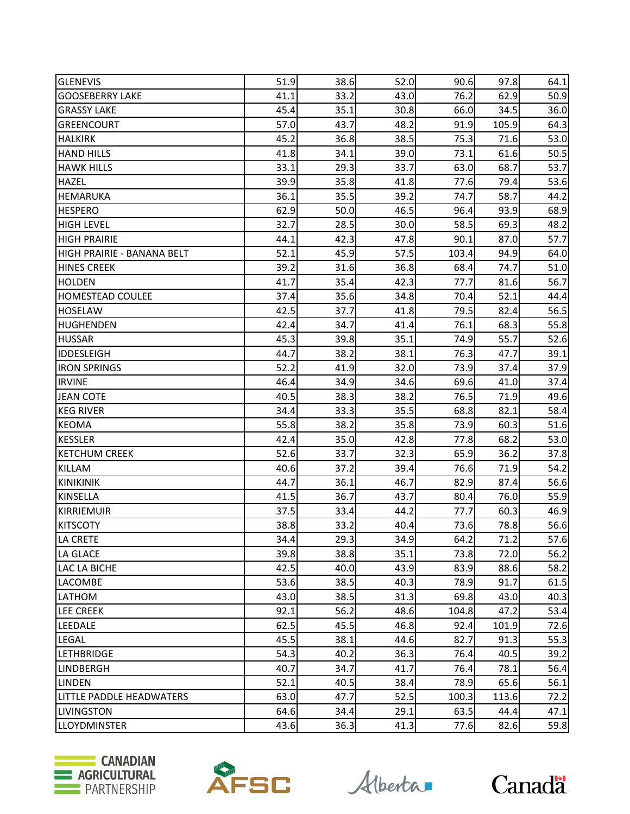| <b>GLENEVIS</b>            | 51.9 | 38.6 | 52.0 | 90.6  | 97.8  | 64.1 |
|----------------------------|------|------|------|-------|-------|------|
| <b>GOOSEBERRY LAKE</b>     | 41.1 | 33.2 | 43.0 | 76.2  | 62.9  | 50.9 |
| <b>GRASSY LAKE</b>         | 45.4 | 35.1 | 30.8 | 66.0  | 34.5  | 36.0 |
| <b>GREENCOURT</b>          | 57.0 | 43.7 | 48.2 | 91.9  | 105.9 | 64.3 |
| <b>HALKIRK</b>             | 45.2 | 36.8 | 38.5 | 75.3  | 71.6  | 53.0 |
| <b>HAND HILLS</b>          | 41.8 | 34.1 | 39.0 | 73.1  | 61.6  | 50.5 |
| <b>HAWK HILLS</b>          | 33.1 | 29.3 | 33.7 | 63.0  | 68.7  | 53.7 |
| <b>HAZEL</b>               | 39.9 | 35.8 | 41.8 | 77.6  | 79.4  | 53.6 |
| <b>HEMARUKA</b>            | 36.1 | 35.5 | 39.2 | 74.7  | 58.7  | 44.2 |
| <b>HESPERO</b>             | 62.9 | 50.0 | 46.5 | 96.4  | 93.9  | 68.9 |
| <b>HIGH LEVEL</b>          | 32.7 | 28.5 | 30.0 | 58.5  | 69.3  | 48.2 |
| <b>HIGH PRAIRIE</b>        | 44.1 | 42.3 | 47.8 | 90.1  | 87.0  | 57.7 |
| HIGH PRAIRIE - BANANA BELT | 52.1 | 45.9 | 57.5 | 103.4 | 94.9  | 64.0 |
| <b>HINES CREEK</b>         | 39.2 | 31.6 | 36.8 | 68.4  | 74.7  | 51.0 |
| <b>HOLDEN</b>              | 41.7 | 35.4 | 42.3 | 77.7  | 81.6  | 56.7 |
| <b>HOMESTEAD COULEE</b>    | 37.4 | 35.6 | 34.8 | 70.4  | 52.1  | 44.4 |
| <b>HOSELAW</b>             | 42.5 | 37.7 | 41.8 | 79.5  | 82.4  | 56.5 |
| <b>HUGHENDEN</b>           | 42.4 | 34.7 | 41.4 | 76.1  | 68.3  | 55.8 |
| <b>HUSSAR</b>              | 45.3 | 39.8 | 35.1 | 74.9  | 55.7  | 52.6 |
| <b>IDDESLEIGH</b>          | 44.7 | 38.2 | 38.1 | 76.3  | 47.7  | 39.1 |
| <b>IRON SPRINGS</b>        | 52.2 | 41.9 | 32.0 | 73.9  | 37.4  | 37.9 |
| <b>IRVINE</b>              | 46.4 | 34.9 | 34.6 | 69.6  | 41.0  | 37.4 |
| <b>JEAN COTE</b>           | 40.5 | 38.3 | 38.2 | 76.5  | 71.9  | 49.6 |
| <b>KEG RIVER</b>           | 34.4 | 33.3 | 35.5 | 68.8  | 82.1  | 58.4 |
| <b>KEOMA</b>               | 55.8 | 38.2 | 35.8 | 73.9  | 60.3  | 51.6 |
| <b>KESSLER</b>             | 42.4 | 35.0 | 42.8 | 77.8  | 68.2  | 53.0 |
| <b>KETCHUM CREEK</b>       | 52.6 | 33.7 | 32.3 | 65.9  | 36.2  | 37.8 |
| KILLAM                     | 40.6 | 37.2 | 39.4 | 76.6  | 71.9  | 54.2 |
| <b>KINIKINIK</b>           | 44.7 | 36.1 | 46.7 | 82.9  | 87.4  | 56.6 |
| <b>KINSELLA</b>            | 41.5 | 36.7 | 43.7 | 80.4  | 76.0  | 55.9 |
| <b>KIRRIEMUIR</b>          | 37.5 | 33.4 | 44.2 | 77.7  | 60.3  | 46.9 |
| <b>KITSCOTY</b>            | 38.8 | 33.2 | 40.4 | 73.6  | 78.8  | 56.6 |
| LA CRETE                   | 34.4 | 29.3 | 34.9 | 64.2  | 71.2  | 57.6 |
| LA GLACE                   | 39.8 | 38.8 | 35.1 | 73.8  | 72.0  | 56.2 |
| LAC LA BICHE               | 42.5 | 40.0 | 43.9 | 83.9  | 88.6  | 58.2 |
| <b>LACOMBE</b>             | 53.6 | 38.5 | 40.3 | 78.9  | 91.7  | 61.5 |
| LATHOM                     | 43.0 | 38.5 | 31.3 | 69.8  | 43.0  | 40.3 |
| <b>LEE CREEK</b>           | 92.1 | 56.2 | 48.6 | 104.8 | 47.2  | 53.4 |
| LEEDALE                    | 62.5 | 45.5 | 46.8 | 92.4  | 101.9 | 72.6 |
| <b>LEGAL</b>               | 45.5 | 38.1 | 44.6 | 82.7  | 91.3  | 55.3 |
| <b>LETHBRIDGE</b>          | 54.3 | 40.2 | 36.3 | 76.4  | 40.5  | 39.2 |
| <b>LINDBERGH</b>           | 40.7 | 34.7 | 41.7 | 76.4  | 78.1  | 56.4 |
| <b>LINDEN</b>              | 52.1 | 40.5 | 38.4 | 78.9  | 65.6  | 56.1 |
| LITTLE PADDLE HEADWATERS   | 63.0 | 47.7 | 52.5 | 100.3 | 113.6 | 72.2 |
| <b>LIVINGSTON</b>          | 64.6 | 34.4 | 29.1 | 63.5  | 44.4  | 47.1 |
| <b>LLOYDMINSTER</b>        | 43.6 | 36.3 | 41.3 | 77.6  | 82.6  | 59.8 |





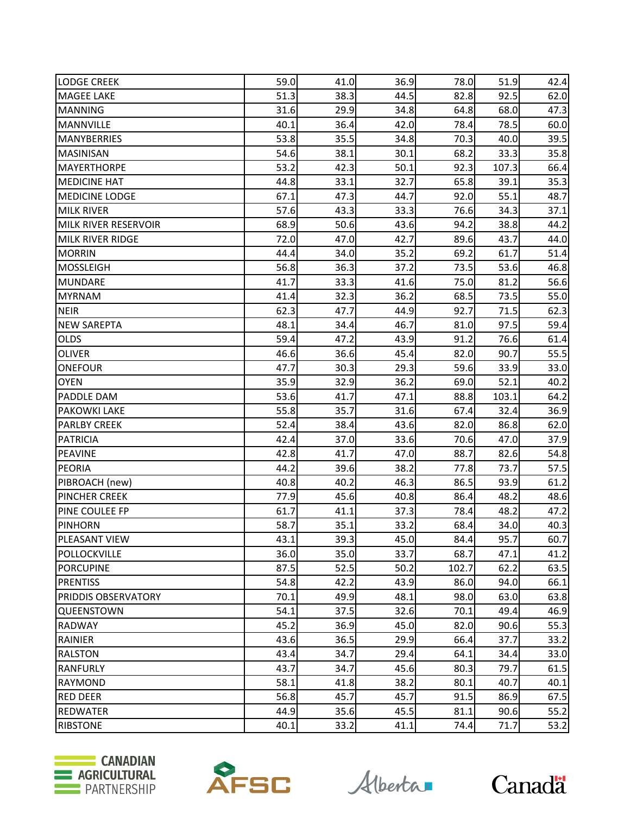| <b>LODGE CREEK</b>         | 59.0 | 41.0 | 36.9 | 78.0  | 51.9  | 42.4 |
|----------------------------|------|------|------|-------|-------|------|
| <b>MAGEE LAKE</b>          | 51.3 | 38.3 | 44.5 | 82.8  | 92.5  | 62.0 |
| <b>MANNING</b>             | 31.6 | 29.9 | 34.8 | 64.8  | 68.0  | 47.3 |
| <b>MANNVILLE</b>           | 40.1 | 36.4 | 42.0 | 78.4  | 78.5  | 60.0 |
| <b>MANYBERRIES</b>         | 53.8 | 35.5 | 34.8 | 70.3  | 40.0  | 39.5 |
| <b>MASINISAN</b>           | 54.6 | 38.1 | 30.1 | 68.2  | 33.3  | 35.8 |
| <b>MAYERTHORPE</b>         | 53.2 | 42.3 | 50.1 | 92.3  | 107.3 | 66.4 |
| <b>MEDICINE HAT</b>        | 44.8 | 33.1 | 32.7 | 65.8  | 39.1  | 35.3 |
| <b>MEDICINE LODGE</b>      | 67.1 | 47.3 | 44.7 | 92.0  | 55.1  | 48.7 |
| <b>MILK RIVER</b>          | 57.6 | 43.3 | 33.3 | 76.6  | 34.3  | 37.1 |
| MILK RIVER RESERVOIR       | 68.9 | 50.6 | 43.6 | 94.2  | 38.8  | 44.2 |
| <b>MILK RIVER RIDGE</b>    | 72.0 | 47.0 | 42.7 | 89.6  | 43.7  | 44.0 |
| <b>MORRIN</b>              | 44.4 | 34.0 | 35.2 | 69.2  | 61.7  | 51.4 |
| <b>MOSSLEIGH</b>           | 56.8 | 36.3 | 37.2 | 73.5  | 53.6  | 46.8 |
| <b>MUNDARE</b>             | 41.7 | 33.3 | 41.6 | 75.0  | 81.2  | 56.6 |
| <b>MYRNAM</b>              | 41.4 | 32.3 | 36.2 | 68.5  | 73.5  | 55.0 |
| <b>NEIR</b>                | 62.3 | 47.7 | 44.9 | 92.7  | 71.5  | 62.3 |
| <b>NEW SAREPTA</b>         | 48.1 | 34.4 | 46.7 | 81.0  | 97.5  | 59.4 |
| <b>OLDS</b>                | 59.4 | 47.2 | 43.9 | 91.2  | 76.6  | 61.4 |
| <b>OLIVER</b>              | 46.6 | 36.6 | 45.4 | 82.0  | 90.7  | 55.5 |
| <b>ONEFOUR</b>             | 47.7 | 30.3 | 29.3 | 59.6  | 33.9  | 33.0 |
| <b>OYEN</b>                | 35.9 | 32.9 | 36.2 | 69.0  | 52.1  | 40.2 |
| <b>PADDLE DAM</b>          | 53.6 | 41.7 | 47.1 | 88.8  | 103.1 | 64.2 |
| <b>PAKOWKI LAKE</b>        | 55.8 | 35.7 | 31.6 | 67.4  | 32.4  | 36.9 |
| <b>PARLBY CREEK</b>        | 52.4 | 38.4 | 43.6 | 82.0  | 86.8  | 62.0 |
| <b>PATRICIA</b>            | 42.4 | 37.0 | 33.6 | 70.6  | 47.0  | 37.9 |
| <b>PEAVINE</b>             | 42.8 | 41.7 | 47.0 | 88.7  | 82.6  | 54.8 |
| <b>PEORIA</b>              | 44.2 | 39.6 | 38.2 | 77.8  | 73.7  | 57.5 |
| PIBROACH (new)             | 40.8 | 40.2 | 46.3 | 86.5  | 93.9  | 61.2 |
| <b>PINCHER CREEK</b>       | 77.9 | 45.6 | 40.8 | 86.4  | 48.2  | 48.6 |
| PINE COULEE FP             | 61.7 | 41.1 | 37.3 | 78.4  | 48.2  | 47.2 |
| <b>PINHORN</b>             | 58.7 | 35.1 | 33.2 | 68.4  | 34.0  | 40.3 |
| <b>PLEASANT VIEW</b>       | 43.1 | 39.3 | 45.0 | 84.4  | 95.7  | 60.7 |
| POLLOCKVILLE               | 36.0 | 35.0 | 33.7 | 68.7  | 47.1  | 41.2 |
| <b>PORCUPINE</b>           | 87.5 | 52.5 | 50.2 | 102.7 | 62.2  | 63.5 |
| <b>PRENTISS</b>            | 54.8 | 42.2 | 43.9 | 86.0  | 94.0  | 66.1 |
| <b>PRIDDIS OBSERVATORY</b> | 70.1 | 49.9 | 48.1 | 98.0  | 63.0  | 63.8 |
| <b>QUEENSTOWN</b>          | 54.1 | 37.5 | 32.6 | 70.1  | 49.4  | 46.9 |
| <b>RADWAY</b>              | 45.2 | 36.9 | 45.0 | 82.0  | 90.6  | 55.3 |
| RAINIER                    | 43.6 | 36.5 | 29.9 | 66.4  | 37.7  | 33.2 |
| <b>RALSTON</b>             | 43.4 | 34.7 | 29.4 | 64.1  | 34.4  | 33.0 |
| <b>RANFURLY</b>            | 43.7 | 34.7 | 45.6 | 80.3  | 79.7  | 61.5 |
| <b>RAYMOND</b>             | 58.1 | 41.8 | 38.2 | 80.1  | 40.7  | 40.1 |
| <b>RED DEER</b>            | 56.8 | 45.7 | 45.7 | 91.5  | 86.9  | 67.5 |
| <b>REDWATER</b>            | 44.9 | 35.6 | 45.5 | 81.1  | 90.6  | 55.2 |
| <b>RIBSTONE</b>            | 40.1 | 33.2 | 41.1 | 74.4  | 71.7  | 53.2 |





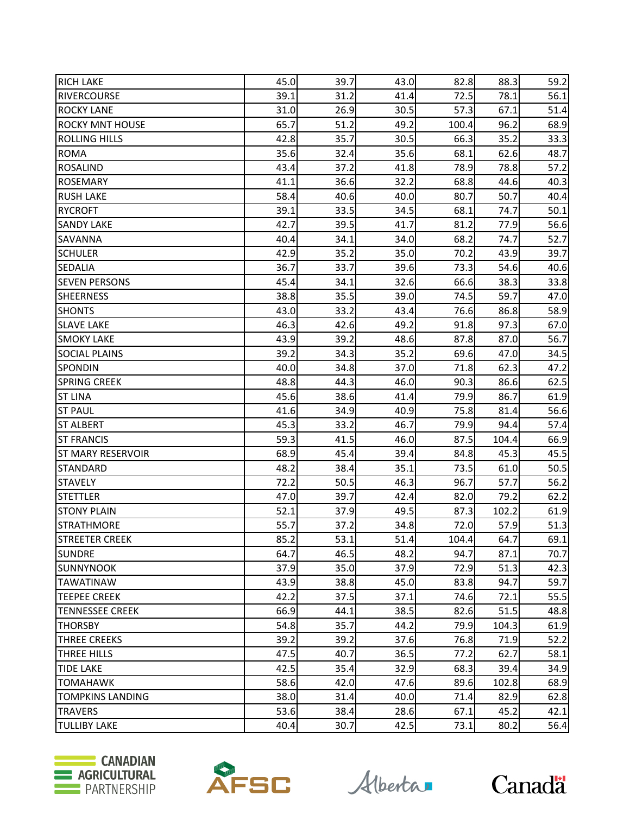| <b>RICH LAKE</b>         | 45.0 | 39.7 | 43.0 | 82.8  | 88.3  | 59.2 |
|--------------------------|------|------|------|-------|-------|------|
| <b>RIVERCOURSE</b>       | 39.1 | 31.2 | 41.4 | 72.5  | 78.1  | 56.1 |
| <b>ROCKY LANE</b>        | 31.0 | 26.9 | 30.5 | 57.3  | 67.1  | 51.4 |
| <b>ROCKY MNT HOUSE</b>   | 65.7 | 51.2 | 49.2 | 100.4 | 96.2  | 68.9 |
| <b>ROLLING HILLS</b>     | 42.8 | 35.7 | 30.5 | 66.3  | 35.2  | 33.3 |
| <b>ROMA</b>              | 35.6 | 32.4 | 35.6 | 68.1  | 62.6  | 48.7 |
| <b>ROSALIND</b>          | 43.4 | 37.2 | 41.8 | 78.9  | 78.8  | 57.2 |
| <b>ROSEMARY</b>          | 41.1 | 36.6 | 32.2 | 68.8  | 44.6  | 40.3 |
| <b>RUSH LAKE</b>         | 58.4 | 40.6 | 40.0 | 80.7  | 50.7  | 40.4 |
| <b>RYCROFT</b>           | 39.1 | 33.5 | 34.5 | 68.1  | 74.7  | 50.1 |
| <b>SANDY LAKE</b>        | 42.7 | 39.5 | 41.7 | 81.2  | 77.9  | 56.6 |
| <b>SAVANNA</b>           | 40.4 | 34.1 | 34.0 | 68.2  | 74.7  | 52.7 |
| <b>SCHULER</b>           | 42.9 | 35.2 | 35.0 | 70.2  | 43.9  | 39.7 |
| <b>SEDALIA</b>           | 36.7 | 33.7 | 39.6 | 73.3  | 54.6  | 40.6 |
| <b>SEVEN PERSONS</b>     | 45.4 | 34.1 | 32.6 | 66.6  | 38.3  | 33.8 |
| <b>SHEERNESS</b>         | 38.8 | 35.5 | 39.0 | 74.5  | 59.7  | 47.0 |
| <b>SHONTS</b>            | 43.0 | 33.2 | 43.4 | 76.6  | 86.8  | 58.9 |
| <b>SLAVE LAKE</b>        | 46.3 | 42.6 | 49.2 | 91.8  | 97.3  | 67.0 |
| <b>SMOKY LAKE</b>        | 43.9 | 39.2 | 48.6 | 87.8  | 87.0  | 56.7 |
| <b>SOCIAL PLAINS</b>     | 39.2 | 34.3 | 35.2 | 69.6  | 47.0  | 34.5 |
| SPONDIN                  | 40.0 | 34.8 | 37.0 | 71.8  | 62.3  | 47.2 |
| <b>SPRING CREEK</b>      | 48.8 | 44.3 | 46.0 | 90.3  | 86.6  | 62.5 |
| <b>ST LINA</b>           | 45.6 | 38.6 | 41.4 | 79.9  | 86.7  | 61.9 |
| <b>ST PAUL</b>           | 41.6 | 34.9 | 40.9 | 75.8  | 81.4  | 56.6 |
| <b>ST ALBERT</b>         | 45.3 | 33.2 | 46.7 | 79.9  | 94.4  | 57.4 |
| <b>ST FRANCIS</b>        | 59.3 | 41.5 | 46.0 | 87.5  | 104.4 | 66.9 |
| <b>ST MARY RESERVOIR</b> | 68.9 | 45.4 | 39.4 | 84.8  | 45.3  | 45.5 |
| <b>STANDARD</b>          | 48.2 | 38.4 | 35.1 | 73.5  | 61.0  | 50.5 |
| <b>STAVELY</b>           | 72.2 | 50.5 | 46.3 | 96.7  | 57.7  | 56.2 |
| <b>STETTLER</b>          | 47.0 | 39.7 | 42.4 | 82.0  | 79.2  | 62.2 |
| <b>STONY PLAIN</b>       | 52.1 | 37.9 | 49.5 | 87.3  | 102.2 | 61.9 |
| <b>STRATHMORE</b>        | 55.7 | 37.2 | 34.8 | 72.0  | 57.9  | 51.3 |
| <b>STREETER CREEK</b>    | 85.2 | 53.1 | 51.4 | 104.4 | 64.7  | 69.1 |
| <b>SUNDRE</b>            | 64.7 | 46.5 | 48.2 | 94.7  | 87.1  | 70.7 |
| <b>SUNNYNOOK</b>         | 37.9 | 35.0 | 37.9 | 72.9  | 51.3  | 42.3 |
| <b>TAWATINAW</b>         | 43.9 | 38.8 | 45.0 | 83.8  | 94.7  | 59.7 |
| <b>TEEPEE CREEK</b>      | 42.2 | 37.5 | 37.1 | 74.6  | 72.1  | 55.5 |
| <b>TENNESSEE CREEK</b>   | 66.9 | 44.1 | 38.5 | 82.6  | 51.5  | 48.8 |
| <b>THORSBY</b>           | 54.8 | 35.7 | 44.2 | 79.9  | 104.3 | 61.9 |
| THREE CREEKS             | 39.2 | 39.2 | 37.6 | 76.8  | 71.9  | 52.2 |
| THREE HILLS              | 47.5 | 40.7 | 36.5 | 77.2  | 62.7  | 58.1 |
| <b>TIDE LAKE</b>         | 42.5 | 35.4 | 32.9 | 68.3  | 39.4  | 34.9 |
| <b>TOMAHAWK</b>          | 58.6 | 42.0 | 47.6 | 89.6  | 102.8 | 68.9 |
| <b>TOMPKINS LANDING</b>  | 38.0 | 31.4 | 40.0 | 71.4  | 82.9  | 62.8 |
| <b>TRAVERS</b>           | 53.6 | 38.4 | 28.6 | 67.1  | 45.2  | 42.1 |
| <b>TULLIBY LAKE</b>      | 40.4 | 30.7 | 42.5 | 73.1  | 80.2  | 56.4 |